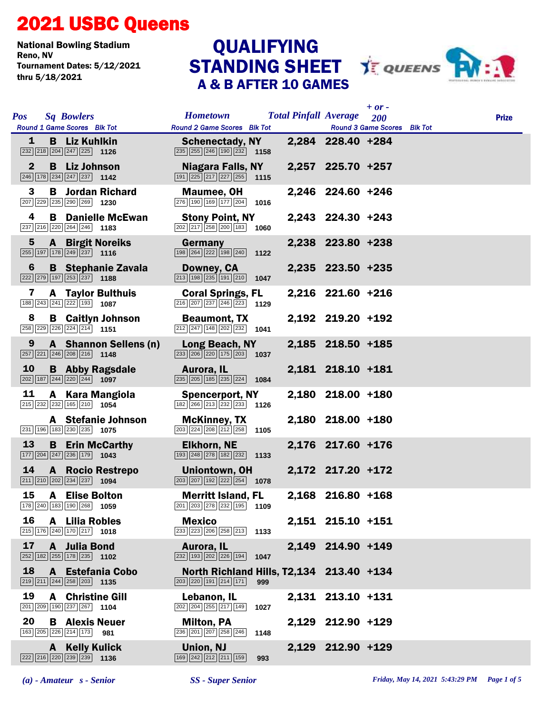## 2021 USBC Queens

National Bowling Stadium Tournament Dates: 5/12/2021 thru 5/18/2021

## STANDING SHEET **TEQUEENS** A & B AFTER 10 GAMES **QUALIFYING**



| <b>Pos</b><br><b>Sq Bowlers</b>                                                                                                                    | <b>Hometown</b>                                                                                               | $+$ or $-$<br><b>Total Pinfall Average</b><br>200 | <b>Prize</b> |
|----------------------------------------------------------------------------------------------------------------------------------------------------|---------------------------------------------------------------------------------------------------------------|---------------------------------------------------|--------------|
| Round 1 Game Scores Blk Tot                                                                                                                        | <b>Round 2 Game Scores Blk Tot</b>                                                                            | <b>Round 3 Game Scores</b> Blk Tot                |              |
| <b>B</b> Liz Kuhlkin<br>1                                                                                                                          | <b>Schenectady, NY</b><br>235 255 246 190 232<br>1158                                                         | 2,284 228.40 +284                                 |              |
| $\mathbf{2}$<br><b>B</b> Liz Johnson<br>$\begin{array}{ c c c c c c }\n\hline\n246 & 178 & 234 & 247 & 237 & \textbf{1142} \\ \hline\n\end{array}$ | Niagara Falls, NY<br>$\boxed{191}$ $\boxed{225}$ $\boxed{217}$ $\boxed{227}$ $\boxed{255}$ <b>1115</b>        | 2,257 225.70 +257                                 |              |
| 3<br><b>B</b> Jordan Richard<br>207 229 235 290 269 1230                                                                                           | <b>Maumee, OH</b><br>276 190 169 177 204 1016                                                                 | 2,246 224.60 +246                                 |              |
| 4<br><b>B</b> Danielle McEwan<br>237 216 220 264 246 1183                                                                                          | <b>Stony Point, NY</b><br>202 217 258 200 183 1060                                                            | 2,243 224.30 +243                                 |              |
| $5\phantom{1}$<br><b>A</b> Birgit Noreiks<br>$\overline{255}$ 197 178 249 237 1116                                                                 | Germany<br>198 264 222 198 240 1122                                                                           | 2,238 223.80 +238                                 |              |
| <b>B</b> Stephanie Zavala<br>6<br>222 279 197 253 237 1188                                                                                         | Downey, CA<br>$\boxed{213}$ $\boxed{198}$ $\boxed{235}$ $\boxed{191}$ $\boxed{210}$ <b>1047</b>               | 2,235 223.50 +235                                 |              |
| 7<br><b>A</b> Taylor Bulthuis<br>188 243 241 222 193 1087                                                                                          | <b>Coral Springs, FL</b><br>$\boxed{216}$ $\boxed{207}$ $\boxed{237}$ $\boxed{246}$ $\boxed{223}$ <b>1129</b> | 2,216 221.60 +216                                 |              |
| 8<br><b>B</b> Caitlyn Johnson<br>258 229 226 224 214 1151                                                                                          | <b>Beaumont, TX</b><br>$\boxed{212}$ $\boxed{247}$ $\boxed{148}$ $\boxed{202}$ $\boxed{232}$ <b>1041</b>      | 2,192 219.20 +192                                 |              |
| A Shannon Sellens (n)<br>9<br>$\boxed{257}$ $\boxed{221}$ $\boxed{246}$ $\boxed{208}$ $\boxed{216}$ <b>1148</b>                                    | Long Beach, NY<br>$\boxed{233}$ $\boxed{206}$ $\boxed{220}$ $\boxed{175}$ $\boxed{203}$ <b>1037</b>           | 2,185 218.50 +185                                 |              |
| 10<br><b>B</b> Abby Ragsdale<br>202 187 244 220 244 1097                                                                                           | Aurora, IL<br>$\boxed{235}$ $\boxed{205}$ 185 235 224 1084                                                    | 2,181 218.10 +181                                 |              |
| 11<br>A Kara Mangiola<br>$\boxed{215}$ $\boxed{232}$ $\boxed{232}$ $\boxed{165}$ $\boxed{210}$ <b>1054</b>                                         | <b>Spencerport, NY</b><br>$\boxed{182}$ $\boxed{266}$ $\boxed{213}$ $\boxed{232}$ $\boxed{233}$ 1126          | 2,180 218.00 +180                                 |              |
| A Stefanie Johnson<br>231 196 183 230 235 1075                                                                                                     | <b>McKinney, TX</b><br>$\boxed{203}$ $\boxed{224}$ $\boxed{208}$ $\boxed{212}$ $\boxed{258}$ 1105             | 2,180 218.00 +180                                 |              |
| 13<br><b>B</b> Erin McCarthy<br>$\boxed{177}$ $\boxed{204}$ $\boxed{247}$ $\boxed{236}$ $\boxed{179}$ <b>1043</b>                                  | <b>Elkhorn, NE</b><br>$\boxed{193}\boxed{248}\boxed{278}\boxed{182}\boxed{232}$ 1133                          | 2,176 217.60 +176                                 |              |
| 14<br>A Rocio Restrepo<br>$\boxed{211}$ $\boxed{210}$ $\boxed{202}$ $\boxed{234}$ $\boxed{237}$ <b>1094</b>                                        | Uniontown, OH<br>$\boxed{203}$ $\boxed{207}$ $\boxed{192}$ $\boxed{222}$ $\boxed{254}$ <b>1078</b>            | 2,172 217.20 +172                                 |              |
| 15<br><b>A</b> Elise Bolton<br>178 240 183 190 268 1059                                                                                            | <b>Merritt Island, FL</b><br>201 203 278 232 195 1109                                                         | 2,168 216.80 +168                                 |              |
| 16<br>A Lilia Robles<br>$\boxed{215}$ 176 240 170 217 1018                                                                                         | <b>Mexico</b><br>233 223 206 258 213 1133                                                                     | 2,151 215.10 +151                                 |              |
| 17<br>A Julia Bond<br>$\boxed{252}$ 182 255 178 235 1102                                                                                           | Aurora, IL<br>$\boxed{232}$ $\boxed{193}$ $\boxed{202}$ $\boxed{226}$ $\boxed{194}$<br>1047                   | 2,149 214.90 +149                                 |              |
| 18<br>A Estefania Cobo<br>$\boxed{219}$ $\boxed{211}$ $\boxed{244}$ $\boxed{258}$ $\boxed{203}$ <b>1135</b>                                        | North Richland Hills, T2,134 213.40 +134<br>203 220 191 214 171<br>999                                        |                                                   |              |
| 19<br><b>A</b> Christine Gill<br>201 209 190 237 267 1104                                                                                          | Lebanon, IL<br>202 204 255 217 149<br>1027                                                                    | 2,131 213.10 +131                                 |              |
| 20<br><b>B</b> Alexis Neuer<br>163 205 226 214 173 981                                                                                             | <b>Milton, PA</b><br>236 201 207 258 246<br>1148                                                              | 2,129 212.90 +129                                 |              |
| A Kelly Kulick<br>$\boxed{222}\boxed{216}\boxed{220}\boxed{239}\boxed{239}$ 1136                                                                   | <b>Union, NJ</b><br>169 242 212 211 159<br>993                                                                | 2,129 212.90 +129                                 |              |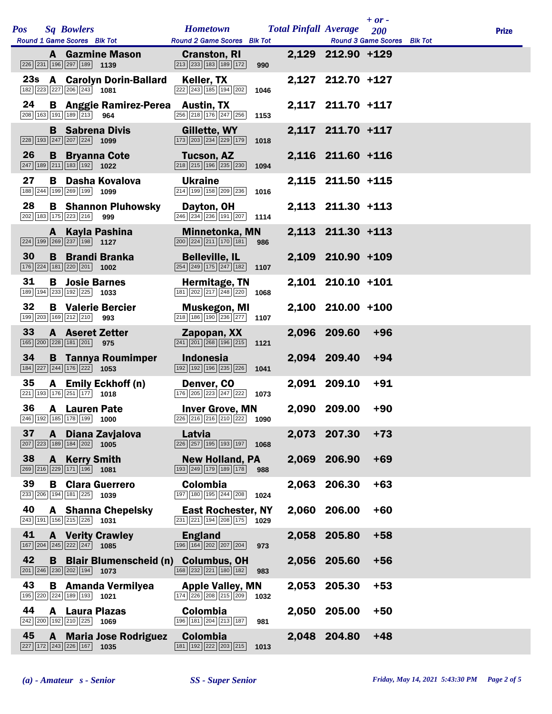|     |    |              |                                                                                                            |                                          |                                                                                                              |      |       |                              | $+$ or $-$                         |              |
|-----|----|--------------|------------------------------------------------------------------------------------------------------------|------------------------------------------|--------------------------------------------------------------------------------------------------------------|------|-------|------------------------------|------------------------------------|--------------|
| Pos |    |              | <b>Sq Bowlers</b><br>Round 1 Game Scores Blk Tot                                                           |                                          | <b>Hometown</b><br><b>Round 2 Game Scores Blk Tot</b>                                                        |      |       | <b>Total Pinfall Average</b> | 200<br>Round 3 Game Scores Blk Tot | <b>Prize</b> |
|     |    |              | 226 231 196 297 189 1139                                                                                   | <b>A</b> Gazmine Mason                   | <b>Cranston, RI</b><br>213 233 183 189 172                                                                   | 990  |       | 2,129 212.90 +129            |                                    |              |
|     |    |              | $\overline{182}$ $\overline{223}$ $\overline{227}$ $\overline{206}$ $\overline{243}$ 1081                  | 23s A Carolyn Dorin-Ballard              | Keller, TX<br>222 243 185 194 202                                                                            | 1046 |       | 2,127 212.70 +127            |                                    |              |
|     | 24 |              | 208 163 191 189 213 964                                                                                    | <b>B</b> Anggie Ramirez-Perea Austin, TX | 256 218 176 247 256                                                                                          | 1153 |       | 2,117 211.70 +117            |                                    |              |
|     |    |              | <b>B</b> Sabrena Divis<br>$\boxed{228}$ 193 247 207 224 1099                                               |                                          | Gillette, WY<br>173 203 234 229 179                                                                          | 1018 |       | 2,117 211.70 +117            |                                    |              |
|     | 26 | B            | <b>Bryanna Cote</b><br>$\boxed{247}$ 189 211 183 192 1022                                                  |                                          | <b>Tucson, AZ</b><br>218 215 196 235 230                                                                     | 1094 |       | 2,116 211.60 +116            |                                    |              |
|     | 27 |              | 188 244 199 269 199 1099                                                                                   | <b>B</b> Dasha Kovalova                  | <b>Ukraine</b><br>214 199 158 209 236                                                                        | 1016 |       | 2,115 211.50 +115            |                                    |              |
|     | 28 |              | 202 183 175 223 216                                                                                        | <b>B</b> Shannon Pluhowsky<br>999        | Dayton, OH<br>$\overline{ 246   234   236   191   207}$ 1114                                                 |      |       | 2,113 211.30 +113            |                                    |              |
|     |    |              | A Kayla Pashina<br>$\boxed{224}$ 199 269 237 198 1127                                                      |                                          | <b>Minnetonka, MN</b><br>$\boxed{200}$ $\boxed{224}$ $\boxed{211}$ $\boxed{170}$ $\boxed{181}$               | 986  |       | 2,113 211.30 +113            |                                    |              |
|     | 30 |              | $\boxed{176}$ $\boxed{224}$ $\boxed{181}$ $\boxed{220}$ $\boxed{201}$ <b>1002</b>                          | <b>B</b> Brandi Branka                   | <b>Belleville, IL</b><br>$\boxed{254}\boxed{249}\boxed{175}\boxed{247}\boxed{182}$                           | 1107 |       | 2,109 210.90 +109            |                                    |              |
|     | 31 |              | <b>B</b> Josie Barnes<br>$\boxed{189}$ $\boxed{194}$ $\boxed{233}$ $\boxed{192}$ $\boxed{225}$ <b>1033</b> |                                          | Hermitage, TN<br>181 202 217 248 220                                                                         | 1068 |       | 2,101 210.10 +101            |                                    |              |
|     | 32 |              | 199 203 169 212 210 993                                                                                    | <b>B</b> Valerie Bercier                 | <b>Muskegon, MI</b><br>218 186 190 236 277 1107                                                              |      |       | 2,100 210.00 +100            |                                    |              |
|     | 33 |              | <b>A</b> Aseret Zetter<br>165 200 228 181 201                                                              | 975                                      | Zapopan, XX<br>241 201 268 196 215                                                                           | 1121 |       | 2,096 209.60                 | $+96$                              |              |
|     | 34 |              | $\boxed{184}$ $\boxed{227}$ $\boxed{244}$ $\boxed{176}$ $\boxed{222}$ <b>1053</b>                          | <b>B</b> Tannya Roumimper                | <b>Indonesia</b><br>192 192 196 235 226                                                                      | 1041 |       | 2,094 209.40                 | $+94$                              |              |
|     | 35 | A            | $\boxed{221}$ 193 176 251 177 1018                                                                         | <b>Emily Eckhoff (n)</b>                 | Denver, CO<br>176 205 223 247 222 1073                                                                       |      |       | 2,091 209.10                 | $+91$                              |              |
|     | 36 |              | <b>A</b> Lauren Pate<br>246 192 185 178 199 1000                                                           |                                          | <b>Inver Grove, MN</b><br>226 216 216 210 222 1090                                                           |      |       | 2,090 209.00                 | $+90$                              |              |
|     | 37 | $\mathbf{A}$ | $\boxed{207}$ $\boxed{223}$ $\boxed{189}$ $\boxed{184}$ $\boxed{202}$ <b>1005</b>                          | Diana Zavjalova                          | Latvia<br>226 257 195 193 197                                                                                | 1068 |       | 2,073 207.30                 | $+73$                              |              |
|     | 38 |              | <b>A</b> Kerry Smith<br>269 216 229 171 196 1081                                                           |                                          | <b>New Holland, PA</b><br>193 249 179 189 178                                                                | 988  |       | 2,069 206.90                 | $+69$                              |              |
|     | 39 |              | 233 206 194 181 225 1039                                                                                   | <b>B</b> Clara Guerrero                  | Colombia<br>197 180 195 244 208                                                                              | 1024 | 2,063 | 206.30                       | $+63$                              |              |
|     | 40 |              | $\boxed{243}$ 191 156 215 226 1031                                                                         | <b>A</b> Shanna Chepelsky                | <b>East Rochester, NY</b><br>231 221 194 208 175                                                             | 1029 |       | 2,060 206.00                 | $+60$                              |              |
|     | 41 |              | $\boxed{167}$ $\boxed{204}$ $\boxed{245}$ $\boxed{222}$ $\boxed{247}$ <b>1085</b>                          | <b>A</b> Verity Crawley                  | <b>England</b><br>196 164 202 207 204                                                                        | 973  |       | 2,058 205.80                 | $+58$                              |              |
|     | 42 |              | $\boxed{201}$ $\boxed{246}$ $\boxed{230}$ $\boxed{202}$ $\boxed{194}$ <b>1073</b>                          |                                          | <b>B</b> Blair Blumenscheid (n) Columbus, OH<br>$\boxed{168}\boxed{232}\boxed{221}\boxed{180}\boxed{182}$    | 983  |       | 2,056 205.60                 | $+56$                              |              |
|     | 43 |              | 195 220 224 189 193 1021                                                                                   | <b>B</b> Amanda Vermilyea                | <b>Apple Valley, MN</b><br>$\boxed{174}$ $\boxed{226}$ $\boxed{208}$ $\boxed{215}$ $\boxed{209}$ <b>1032</b> |      | 2,053 | 205.30                       | $+53$                              |              |
|     | 44 |              | <b>A</b> Laura Plazas<br>$\boxed{242}$ $\boxed{200}$ $\boxed{192}$ $\boxed{210}$ $\boxed{225}$ <b>1069</b> |                                          | Colombia<br>196 181 204 213 187                                                                              | 981  |       | 2,050 205.00                 | $+50$                              |              |
|     | 45 | A            | $\boxed{227}$ $\boxed{172}$ $\boxed{243}$ $\boxed{226}$ $\boxed{167}$ <b>1035</b>                          | <b>Maria Jose Rodriguez</b>              | Colombia<br>181 192 222 203 215                                                                              | 1013 |       | 2,048 204.80                 | $+48$                              |              |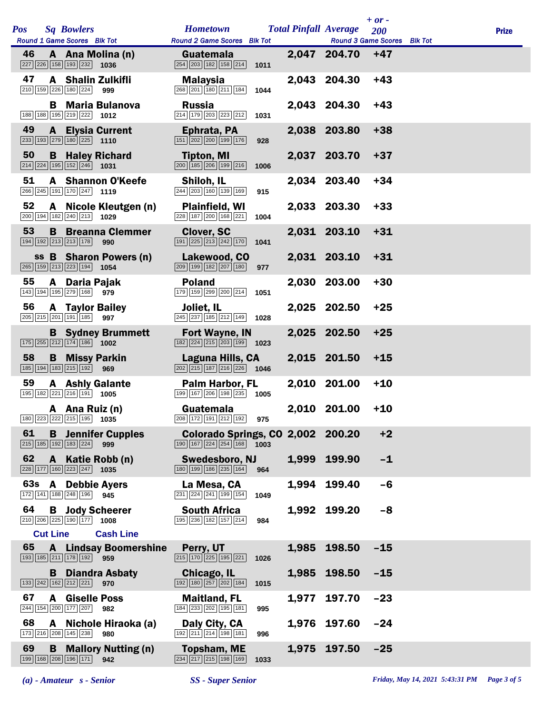|     |     |                 |                                                                            |                                     |                                                                                                                                  |      |       |                              | $+$ or $-$                         |              |
|-----|-----|-----------------|----------------------------------------------------------------------------|-------------------------------------|----------------------------------------------------------------------------------------------------------------------------------|------|-------|------------------------------|------------------------------------|--------------|
| Pos |     |                 | <b>Sq Bowlers</b><br>Round 1 Game Scores Blk Tot                           |                                     | <b>Hometown</b><br>Round 2 Game Scores Blk Tot                                                                                   |      |       | <b>Total Pinfall Average</b> | 200<br>Round 3 Game Scores Blk Tot | <b>Prize</b> |
|     | 46  |                 | $\boxed{227}$ $\boxed{226}$ 158 193 232 1036                               | A Ana Molina (n)                    | Guatemala<br>254 203 182 158 214                                                                                                 | 1011 |       | 2,047 204.70                 | $+47$                              |              |
|     | 47  |                 | 210 159 226 180 224                                                        | A Shalin Zulkifli<br>999            | <b>Malaysia</b><br>268 201 180 211 184                                                                                           | 1044 |       | 2,043 204.30                 | $+43$                              |              |
|     |     |                 | 188 188 195 219 222 1012                                                   | <b>B</b> Maria Bulanova             | <b>Russia</b><br>$\boxed{214}$ $\boxed{179}$ $\boxed{203}$ $\boxed{223}$ $\boxed{212}$                                           | 1031 |       | 2,043 204.30                 | $+43$                              |              |
|     | 49  |                 | $\boxed{233}$ 193 279 180 225 1110                                         | <b>A</b> Elysia Current             | Ephrata, PA<br>$\boxed{151}$ $\boxed{202}$ $\boxed{200}$ $\boxed{199}$ $\boxed{176}$                                             | 928  |       | 2,038 203.80                 | $+38$                              |              |
|     | 50  | B               | $\boxed{214}$ $\boxed{224}$ $\boxed{195}$ $\boxed{152}$ $\boxed{246}$      | <b>Haley Richard</b><br>1031        | Tipton, MI<br>200 185 206 199 216                                                                                                | 1006 |       | 2,037 203.70                 | $+37$                              |              |
|     | 51  |                 | 266 245 191 170 247 1119                                                   | <b>A</b> Shannon O'Keefe            | Shiloh, IL<br>244 203 160 139 169                                                                                                | 915  |       | 2,034 203.40                 | $+34$                              |              |
|     | 52  |                 | 200 194 182 240 213 1029                                                   | A Nicole Kleutgen (n)               | <b>Plainfield, WI</b><br>228 187 200 168 221                                                                                     | 1004 |       | 2,033 203.30                 | $+33$                              |              |
|     | 53  | B               | 194 192 213 213 178                                                        | <b>Breanna Clemmer</b><br>990       | <b>Clover, SC</b><br>$\boxed{191}\boxed{225}\boxed{213}\boxed{242}\boxed{170}$                                                   | 1041 |       | 2,031 203.10                 | $+31$                              |              |
|     |     |                 | 265 159 213 223 194 1054                                                   | ss B Sharon Powers (n)              | Lakewood, CO<br>209 199 182 207 180                                                                                              | 977  |       | 2,031 203.10                 | $+31$                              |              |
|     | 55  |                 | A Daria Pajak<br>143 194 195 279 168 979                                   |                                     | <b>Poland</b><br>179 159 299 200 214                                                                                             | 1051 |       | 2,030 203.00                 | $+30$                              |              |
|     | 56  |                 | <b>A</b> Taylor Bailey<br>205 215 201 191 185                              | 997                                 | Joliet, IL<br>245 237 185 212 149 1028                                                                                           |      |       | 2,025 202.50                 | $+25$                              |              |
|     |     |                 | $\boxed{175}$ $\boxed{255}$ $\boxed{212}$ $\boxed{174}$ $\boxed{186}$ 1002 | <b>B</b> Sydney Brummett            | <b>Fort Wayne, IN</b><br>$\boxed{182}\boxed{224}\boxed{215}\boxed{203}\boxed{199}$ 1023                                          |      |       | 2,025 202.50                 | $+25$                              |              |
|     | 58  |                 | <b>B</b> Missy Parkin<br>185 194 183 215 192                               | 969                                 | Laguna Hills, CA<br>$\boxed{202}$ $\boxed{215}$ $\boxed{187}$ $\boxed{216}$ $\boxed{226}$ 1046                                   |      |       | 2,015 201.50                 | $+15$                              |              |
|     | 59  |                 | 195 182 221 216 191 1005                                                   | <b>A</b> Ashly Galante              | Palm Harbor, FL<br>199 167 206 198 235 1005                                                                                      |      |       | 2,010 201.00                 | $+10$                              |              |
|     |     |                 | A Ana Ruiz (n)                                                             | 180 223 222 215 195 1035            | Guatemala<br>208 172 191 212 192 975                                                                                             |      |       | 2,010 201.00                 | $+10$                              |              |
|     | 61  |                 | $\boxed{215}$ $\boxed{185}$ $\boxed{192}$ $\boxed{183}$ $\boxed{224}$      | <b>B</b> Jennifer Cupples<br>999    | <b>Colorado Springs, CO 2,002 200.20</b><br>$\boxed{190}$ $\boxed{167}$ $\boxed{224}$ $\boxed{254}$ $\boxed{168}$ $\boxed{1003}$ |      |       |                              | $+2$                               |              |
|     | 62  |                 | 228 177 160 223 247                                                        | A Katie Robb (n)<br>1035            | <b>Swedesboro, NJ</b><br>180 199 186 235 164                                                                                     | 964  |       | 1,999 199.90                 | $-1$                               |              |
|     | 63s |                 | <b>A</b> Debbie Ayers<br>172 141 188 248 196 945                           |                                     | La Mesa, CA<br>$\boxed{231}$ $\boxed{224}$ $\boxed{241}$ $\boxed{199}$ $\boxed{154}$                                             | 1049 | 1,994 | 199.40                       | $-6$                               |              |
|     | 64  |                 | $\boxed{210}$ $\boxed{206}$ $\boxed{225}$ $\boxed{190}$ $\boxed{177}$ 1008 | <b>B</b> Jody Scheerer              | <b>South Africa</b><br>195 236 182 157 214                                                                                       | 984  |       | 1,992 199.20                 | $-8$                               |              |
|     |     | <b>Cut Line</b> |                                                                            | <b>Cash Line</b>                    |                                                                                                                                  |      |       |                              |                                    |              |
|     | 65  |                 | 193 185 211 178 192                                                        | <b>A</b> Lindsay Boomershine<br>959 | Perry, UT<br>$\boxed{215}$ $\boxed{170}$ $\boxed{225}$ $\boxed{195}$ $\boxed{221}$                                               | 1026 |       | 1,985 198.50                 | $-15$                              |              |
|     |     |                 | 133 242 162 212 221                                                        | <b>B</b> Diandra Asbaty<br>970      | Chicago, IL<br>192 180 257 202 184                                                                                               | 1015 |       | 1,985 198.50                 | $-15$                              |              |
|     | 67  |                 | <b>A</b> Giselle Poss<br>244 154 200 177 207                               | 982                                 | <b>Maitland, FL</b><br>184 233 202 195 181                                                                                       | 995  | 1,977 | 197.70                       | $-23$                              |              |
|     | 68  | A               | 173 216 208 145 238                                                        | Nichole Hiraoka (a)<br>980          | Daly City, CA<br>192 211 214 198 181                                                                                             | 996  |       | 1,976 197.60                 | $-24$                              |              |
|     | 69  | B               | 199 168 208 196 171                                                        | <b>Mallory Nutting (n)</b><br>942   | <b>Topsham, ME</b><br>$\boxed{234}$ $\boxed{217}$ $\boxed{215}$ $\boxed{198}$ $\boxed{169}$                                      | 1033 |       | 1,975 197.50                 | $-25$                              |              |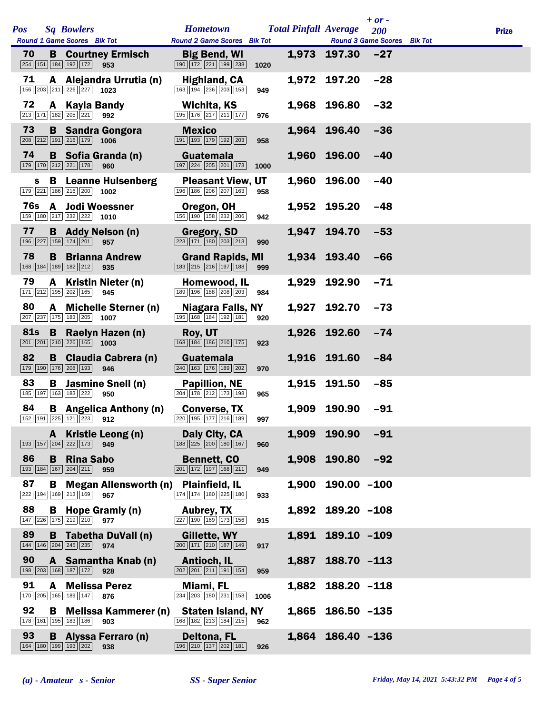|            |   |                                                                            |                                                                                                                   |                                                                                               |      |       |                              | $+ or -$                                  |              |
|------------|---|----------------------------------------------------------------------------|-------------------------------------------------------------------------------------------------------------------|-----------------------------------------------------------------------------------------------|------|-------|------------------------------|-------------------------------------------|--------------|
| Pos        |   | <b>Sq Bowlers</b><br>Round 1 Game Scores Blk Tot                           |                                                                                                                   | <b>Hometown</b><br><b>Round 2 Game Scores</b> Blk Tot                                         |      |       | <b>Total Pinfall Average</b> | <b>200</b><br>Round 3 Game Scores Blk Tot | <b>Prize</b> |
| 70         |   | $\boxed{254}$ 151 184 192 172                                              | <b>B</b> Courtney Ermisch<br>953                                                                                  | <b>Big Bend, WI</b><br>190 172 221 199 238                                                    | 1020 |       | 1,973 197.30                 | $-27$                                     |              |
| 71         |   | 156 203 211 226 227 1023                                                   | A Alejandra Urrutia (n)                                                                                           | <b>Highland, CA</b><br>163 194 236 203 153                                                    | 949  |       | 1,972 197.20                 | $-28$                                     |              |
| 72         |   | A Kayla Bandy<br>213 171 182 205 221                                       | 992                                                                                                               | Wichita, KS<br>$\boxed{195}$ $\boxed{176}$ $\boxed{217}$ $\boxed{211}$ $\boxed{177}$          | 976  |       | 1,968 196.80                 | $-32$                                     |              |
| 73         |   | 208 212 191 216 179 1006                                                   | <b>B</b> Sandra Gongora                                                                                           | <b>Mexico</b><br>191 193 179 192 203                                                          | 958  |       | 1,964 196.40                 | $-36$                                     |              |
| 74         |   | 179 170 212 221 178                                                        | <b>B</b> Sofia Granda (n)<br>960                                                                                  | Guatemala<br>$\boxed{197}$ $\boxed{224}$ $\boxed{205}$ $\boxed{201}$ $\boxed{173}$            | 1000 |       | 1,960 196.00                 | $-40$                                     |              |
| S.         |   | 179 221 186 216 200 1002                                                   | <b>B</b> Leanne Hulsenberg                                                                                        | <b>Pleasant View, UT</b><br>196 186 206 207 163                                               | 958  | 1,960 | 196.00                       | $-40$                                     |              |
| 76s        |   | 159 180 217 232 222 1010                                                   | <b>A</b> Jodi Woessner                                                                                            | Oregon, OH<br>156 190 158 232 206                                                             | 942  |       | 1,952 195.20                 | $-48$                                     |              |
| 77         |   | 196 227 159 174 201                                                        | <b>B</b> Addy Nelson (n)<br>957                                                                                   | <b>Gregory, SD</b><br>$\boxed{223}$ $\boxed{171}$ $\boxed{180}$ $\boxed{203}$ $\boxed{213}$   | 990  | 1,947 | 194.70                       | $-53$                                     |              |
| 78         |   | 168 184 189 182 212                                                        | <b>B</b> Brianna Andrew<br>935                                                                                    | <b>Grand Rapids, MI</b><br>183 215 216 197 188                                                | 999  |       | 1,934 193.40                 | $-66$                                     |              |
| 79         |   | 171 212 195 202 165                                                        | A Kristin Nieter (n)<br>945                                                                                       | Homewood, IL<br>189 196 188 208 203                                                           | 984  |       | 1,929 192.90                 | $-71$                                     |              |
| 80         |   | 207 237 175 183 205 1007                                                   | A Michelle Sterner (n)                                                                                            | Niagara Falls, NY<br>195 168 184 192 181                                                      | 920  |       | 1,927 192.70                 | $-73$                                     |              |
| <b>81s</b> |   | $\boxed{201}$ $\boxed{201}$ $\boxed{210}$ $\boxed{226}$ $\boxed{165}$ 1003 | <b>B</b> Raelyn Hazen (n)                                                                                         | Roy, UT<br>168 184 186 210 175                                                                | 923  |       | 1,926 192.60                 | $-74$                                     |              |
| 82         |   | 179 190 176 208 193                                                        | <b>B</b> Claudia Cabrera (n)<br>946                                                                               | Guatemala<br>240 163 176 189 202                                                              | 970  |       | 1,916 191.60                 | -84                                       |              |
| 83         | B | 185 197 163 183 222                                                        | Jasmine Snell (n)<br>950                                                                                          | <b>Papillion, NE</b><br>$\boxed{204}$ $\boxed{178}$ $\boxed{212}$ $\boxed{173}$ $\boxed{198}$ | 965  |       | 1,915 191.50                 | $-85$                                     |              |
| 84         |   |                                                                            | <b>B</b> Angelica Anthony (n)<br>$\boxed{152}$ $\boxed{191}$ $\boxed{225}$ $\boxed{121}$ $\boxed{223}$ <b>912</b> | <b>Converse, TX</b><br>$\boxed{220}$ 195 177 216 189 997                                      |      |       | 1,909 190.90                 | $-91$                                     |              |
|            |   | 193 157 204 222 173 949                                                    | A Kristie Leong (n)                                                                                               | Daly City, CA<br>$\boxed{188}\boxed{225}\boxed{200}\boxed{180}\boxed{167}$                    | 960  | 1,909 | 190.90                       | $-91$                                     |              |
| 86         | B | <b>Rina Sabo</b><br>193 184 167 204 211                                    | 959                                                                                                               | <b>Bennett, CO</b><br>$\boxed{201}$ $\boxed{172}$ $\boxed{197}$ $\boxed{168}$ $\boxed{211}$   | 949  |       | 1,908 190.80                 | $-92$                                     |              |
| 87         | B | $\boxed{222}$ 194 169 213 169                                              | <b>Megan Allensworth (n)</b><br>967                                                                               | <b>Plainfield, IL</b><br>174 174 180 225 180                                                  | 933  | 1,900 | $190.00 - 100$               |                                           |              |
| 88         |   | 147 226 175 219 210 977                                                    | <b>B</b> Hope Gramly (n)                                                                                          | <b>Aubrey, TX</b><br>227 190 169 173 156                                                      | 915  |       | 1,892 189.20 -108            |                                           |              |
| 89         |   | 144 146 204 245 235                                                        | <b>B</b> Tabetha DuVall (n)<br>974                                                                                | Gillette, WY<br>200 171 210 187 149                                                           | 917  |       | 1,891 189.10 -109            |                                           |              |
| 90         |   | 198 203 168 187 172                                                        | A Samantha Knab (n)<br>928                                                                                        | <b>Antioch, IL</b><br>$\boxed{202}$ $\boxed{201}$ $\boxed{211}$ $\boxed{191}$ $\boxed{154}$   | 959  | 1,887 | $188.70 - 113$               |                                           |              |
| 91         |   | <b>A</b> Melissa Perez<br>170 205 165 189 147                              | 876                                                                                                               | Miami, FL<br>234 203 180 231 158                                                              | 1006 | 1,882 | $188.20 - 118$               |                                           |              |
| 92         | B | 178 161 195 183 186                                                        | <b>Melissa Kammerer (n)</b><br>903                                                                                | <b>Staten Island, NY</b><br>168 182 213 184 215                                               | 962  |       | 1,865 186.50 -135            |                                           |              |
| 93         |   | 164 180 199 193 202                                                        | <b>B</b> Alyssa Ferraro (n)<br>938                                                                                | <b>Deltona, FL</b><br>196 210 137 202 181                                                     | 926  |       | 1,864 186.40 -136            |                                           |              |